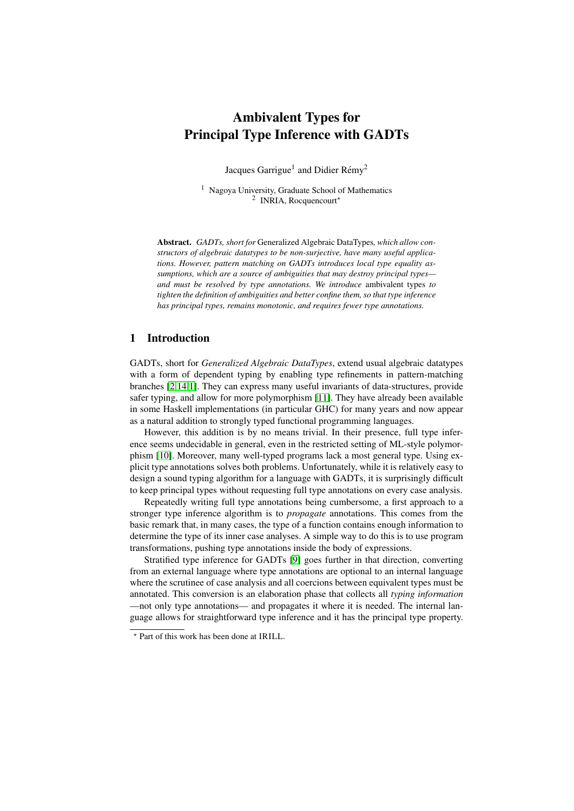# Ambivalent Types for Principal Type Inference with GADTs

Jacques Garrigue<sup>1</sup> and Didier Rémy<sup>2</sup>

<sup>1</sup> Nagoya University, Graduate School of Mathematics <sup>2</sup> INRIA, Rocquencourt<sup>\*</sup>

Abstract. *GADTs, short for* Generalized Algebraic DataTypes*, which allow constructors of algebraic datatypes to be non-surjective, have many useful applications. However, pattern matching on GADTs introduces local type equality assumptions, which are a source of ambiguities that may destroy principal types and must be resolved by type annotations. We introduce* ambivalent types *to tighten the definition of ambiguities and better confine them, so that type inference has principal types, remains monotonic, and requires fewer type annotations.*

# 1 Introduction

GADTs, short for *Generalized Algebraic DataTypes*, extend usual algebraic datatypes with a form of dependent typing by enabling type refinements in pattern-matching branches [\[2,](#page-15-0)[14,](#page-15-1)[1\]](#page-15-2). They can express many useful invariants of data-structures, provide safer typing, and allow for more polymorphism [\[11\]](#page-15-3). They have already been available in some Haskell implementations (in particular GHC) for many years and now appear as a natural addition to strongly typed functional programming languages.

However, this addition is by no means trivial. In their presence, full type inference seems undecidable in general, even in the restricted setting of ML-style polymorphism [\[10\]](#page-15-4). Moreover, many well-typed programs lack a most general type. Using explicit type annotations solves both problems. Unfortunately, while it is relatively easy to design a sound typing algorithm for a language with GADTs, it is surprisingly difficult to keep principal types without requesting full type annotations on every case analysis.

Repeatedly writing full type annotations being cumbersome, a first approach to a stronger type inference algorithm is to *propagate* annotations. This comes from the basic remark that, in many cases, the type of a function contains enough information to determine the type of its inner case analyses. A simple way to do this is to use program transformations, pushing type annotations inside the body of expressions.

Stratified type inference for GADTs [\[9\]](#page-15-5) goes further in that direction, converting from an external language where type annotations are optional to an internal language where the scrutinee of case analysis and all coercions between equivalent types must be annotated. This conversion is an elaboration phase that collects all *typing information* —not only type annotations— and propagates it where it is needed. The internal language allows for straightforward type inference and it has the principal type property.

<sup>?</sup> Part of this work has been done at IRILL.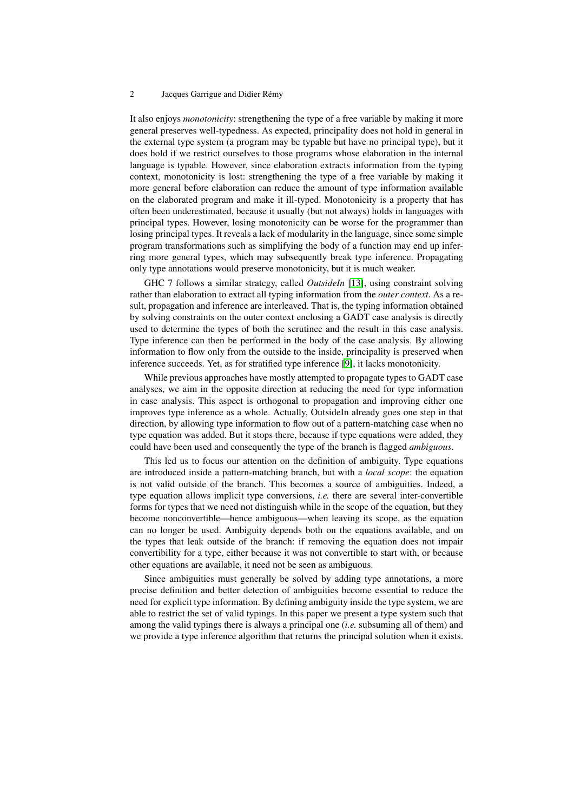It also enjoys *monotonicity*: strengthening the type of a free variable by making it more general preserves well-typedness. As expected, principality does not hold in general in the external type system (a program may be typable but have no principal type), but it does hold if we restrict ourselves to those programs whose elaboration in the internal language is typable. However, since elaboration extracts information from the typing context, monotonicity is lost: strengthening the type of a free variable by making it more general before elaboration can reduce the amount of type information available on the elaborated program and make it ill-typed. Monotonicity is a property that has often been underestimated, because it usually (but not always) holds in languages with principal types. However, losing monotonicity can be worse for the programmer than losing principal types. It reveals a lack of modularity in the language, since some simple program transformations such as simplifying the body of a function may end up inferring more general types, which may subsequently break type inference. Propagating only type annotations would preserve monotonicity, but it is much weaker.

GHC 7 follows a similar strategy, called *OutsideIn* [\[13\]](#page-15-6), using constraint solving rather than elaboration to extract all typing information from the *outer context*. As a result, propagation and inference are interleaved. That is, the typing information obtained by solving constraints on the outer context enclosing a GADT case analysis is directly used to determine the types of both the scrutinee and the result in this case analysis. Type inference can then be performed in the body of the case analysis. By allowing information to flow only from the outside to the inside, principality is preserved when inference succeeds. Yet, as for stratified type inference [\[9\]](#page-15-5), it lacks monotonicity.

While previous approaches have mostly attempted to propagate types to GADT case analyses, we aim in the opposite direction at reducing the need for type information in case analysis. This aspect is orthogonal to propagation and improving either one improves type inference as a whole. Actually, OutsideIn already goes one step in that direction, by allowing type information to flow out of a pattern-matching case when no type equation was added. But it stops there, because if type equations were added, they could have been used and consequently the type of the branch is flagged *ambiguous*.

This led us to focus our attention on the definition of ambiguity. Type equations are introduced inside a pattern-matching branch, but with a *local scope*: the equation is not valid outside of the branch. This becomes a source of ambiguities. Indeed, a type equation allows implicit type conversions, *i.e.* there are several inter-convertible forms for types that we need not distinguish while in the scope of the equation, but they become nonconvertible—hence ambiguous—when leaving its scope, as the equation can no longer be used. Ambiguity depends both on the equations available, and on the types that leak outside of the branch: if removing the equation does not impair convertibility for a type, either because it was not convertible to start with, or because other equations are available, it need not be seen as ambiguous.

Since ambiguities must generally be solved by adding type annotations, a more precise definition and better detection of ambiguities become essential to reduce the need for explicit type information. By defining ambiguity inside the type system, we are able to restrict the set of valid typings. In this paper we present a type system such that among the valid typings there is always a principal one (*i.e.* subsuming all of them) and we provide a type inference algorithm that returns the principal solution when it exists.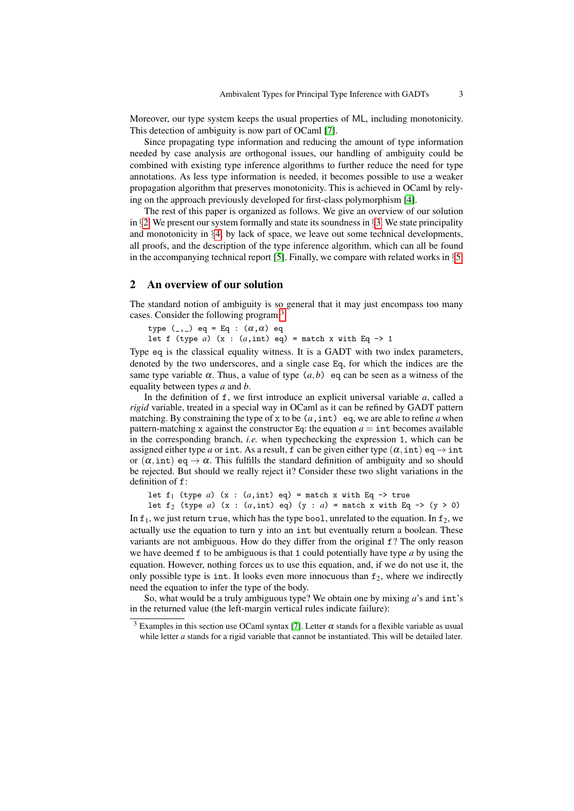Moreover, our type system keeps the usual properties of ML, including monotonicity. This detection of ambiguity is now part of OCaml [\[7\]](#page-15-7).

Since propagating type information and reducing the amount of type information needed by case analysis are orthogonal issues, our handling of ambiguity could be combined with existing type inference algorithms to further reduce the need for type annotations. As less type information is needed, it becomes possible to use a weaker propagation algorithm that preserves monotonicity. This is achieved in OCaml by relying on the approach previously developed for first-class polymorphism [\[4\]](#page-15-8).

The rest of this paper is organized as follows. We give an overview of our solution in §[2.](#page-2-0) We present our system formally and state its soundness in §[3.](#page-4-0) We state principality and monotonicity in  $\S4$ ; by lack of space, we leave out some technical developments, all proofs, and the description of the type inference algorithm, which can all be found in the accompanying technical report [\[5\]](#page-15-9). Finally, we compare with related works in  $\S5$ .

### <span id="page-2-0"></span>2 An overview of our solution

The standard notion of ambiguity is so general that it may just encompass too many cases. Consider the following program.<sup>[3](#page-2-1)</sup>

type  $(\_,\_)$  eq = Eq :  $(\alpha,\alpha)$  eq

let f (type  $a$ ) ( $x : (a, int)$  eq) = match  $x$  with Eq -> 1

Type eq is the classical equality witness. It is a GADT with two index parameters, denoted by the two underscores, and a single case Eq, for which the indices are the same type variable  $\alpha$ . Thus, a value of type  $(a,b)$  eq can be seen as a witness of the equality between types *a* and *b*.

In the definition of f, we first introduce an explicit universal variable *a*, called a *rigid* variable, treated in a special way in OCaml as it can be refined by GADT pattern matching. By constraining the type of x to be  $(a, \text{int})$  eq, we are able to refine *a* when pattern-matching x against the constructor Eq: the equation  $a = \text{int}$  becomes available in the corresponding branch, *i.e.* when typechecking the expression 1, which can be assigned either type *a* or int. As a result, f can be given either type  $(\alpha, \text{int})$  eq  $\rightarrow$  int or  $(\alpha, \text{int})$  eq  $\rightarrow \alpha$ . This fulfills the standard definition of ambiguity and so should be rejected. But should we really reject it? Consider these two slight variations in the definition of f:

let  $f_1$  (type  $a$ ) (x :  $(a, int)$  eq) = match x with Eq  $\rightarrow$  true let f<sub>2</sub> (type *a*) (x :  $(a, int)$  eq) (y : *a*) = match x with Eq -> (y > 0)

In  $f_1$ , we just return true, which has the type bool, unrelated to the equation. In  $f_2$ , we actually use the equation to turn y into an int but eventually return a boolean. These variants are not ambiguous. How do they differ from the original f? The only reason we have deemed f to be ambiguous is that 1 could potentially have type *a* by using the equation. However, nothing forces us to use this equation, and, if we do not use it, the only possible type is int. It looks even more innocuous than  $f_2$ , where we indirectly need the equation to infer the type of the body.

So, what would be a truly ambiguous type? We obtain one by mixing *a*'s and int's in the returned value (the left-margin vertical rules indicate failure):

<span id="page-2-1"></span><sup>&</sup>lt;sup>3</sup> Examples in this section use OCaml syntax [\[7\]](#page-15-7). Letter  $\alpha$  stands for a flexible variable as usual while letter *a* stands for a rigid variable that cannot be instantiated. This will be detailed later.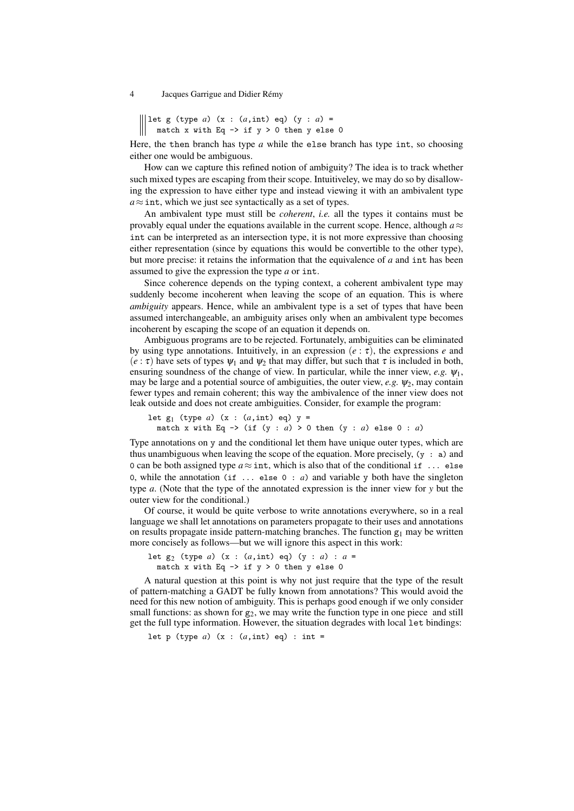$\left\| \begin{matrix} \text{let } g & (\text{type } a) & (\text{x } : (a, \text{int}) \text{ eq}) & (\text{y } : a) = \\ \text{match } x & \text{with } Fa & \text{if } x & \text{if } x & \text{if } x \neq 0 \end{matrix} \right\|$ match x with Eq  $\rightarrow$  if  $y > 0$  then y else 0

Here, the then branch has type  $a$  while the else branch has type int, so choosing either one would be ambiguous.

How can we capture this refined notion of ambiguity? The idea is to track whether such mixed types are escaping from their scope. Intuitiveley, we may do so by disallowing the expression to have either type and instead viewing it with an ambivalent type  $a \approx \text{int}$ , which we just see syntactically as a set of types.

An ambivalent type must still be *coherent*, *i.e.* all the types it contains must be provably equal under the equations available in the current scope. Hence, although  $a \approx$ int can be interpreted as an intersection type, it is not more expressive than choosing either representation (since by equations this would be convertible to the other type), but more precise: it retains the information that the equivalence of *a* and int has been assumed to give the expression the type *a* or int.

Since coherence depends on the typing context, a coherent ambivalent type may suddenly become incoherent when leaving the scope of an equation. This is where *ambiguity* appears. Hence, while an ambivalent type is a set of types that have been assumed interchangeable, an ambiguity arises only when an ambivalent type becomes incoherent by escaping the scope of an equation it depends on.

Ambiguous programs are to be rejected. Fortunately, ambiguities can be eliminated by using type annotations. Intuitively, in an expression (*e* : τ), the expressions *e* and  $(e : \tau)$  have sets of types  $\psi_1$  and  $\psi_2$  that may differ, but such that  $\tau$  is included in both, ensuring soundness of the change of view. In particular, while the inner view,  $e.g. \Psi_1$ , may be large and a potential source of ambiguities, the outer view, *e.g.*  $\psi_2$ , may contain fewer types and remain coherent; this way the ambivalence of the inner view does not leak outside and does not create ambiguities. Consider, for example the program:

let  $g_1$  (type  $a$ ) (x :  $(a, int)$  eq)  $y =$ match x with Eq  $\rightarrow$  (if (y : *a*) > 0 then (y : *a*) else 0 : *a*)

Type annotations on y and the conditional let them have unique outer types, which are thus unambiguous when leaving the scope of the equation. More precisely,  $(y : a)$  and 0 can be both assigned type  $a \approx \text{int}$ , which is also that of the conditional if ... else 0, while the annotation (if  $\dots$  else 0 : *a*) and variable y both have the singleton type *a*. (Note that the type of the annotated expression is the inner view for *y* but the outer view for the conditional.)

Of course, it would be quite verbose to write annotations everywhere, so in a real language we shall let annotations on parameters propagate to their uses and annotations on results propagate inside pattern-matching branches. The function  $g_1$  may be written more concisely as follows—but we will ignore this aspect in this work:

```
let g_2 (type a) (x : (a, int) eq) (y : a) : a =
  match x with Eq \rightarrow if y > 0 then y else 0
```
A natural question at this point is why not just require that the type of the result of pattern-matching a GADT be fully known from annotations? This would avoid the need for this new notion of ambiguity. This is perhaps good enough if we only consider small functions: as shown for  $g_2$ , we may write the function type in one piece and still get the full type information. However, the situation degrades with local let bindings:

let p (type *a*) (x : (*a*,int) eq) : int =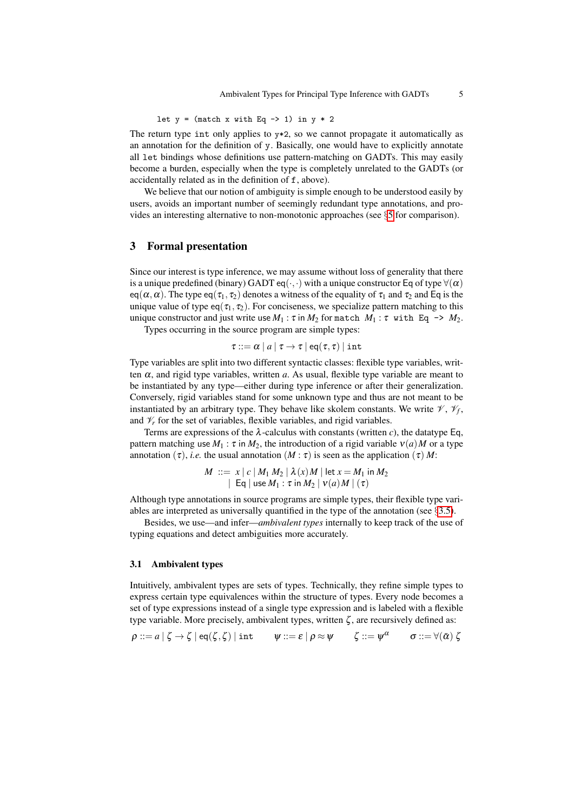let  $y = (match x with Eq \rightarrow 1) in y * 2$ 

The return type int only applies to  $y*2$ , so we cannot propagate it automatically as an annotation for the definition of y. Basically, one would have to explicitly annotate all let bindings whose definitions use pattern-matching on GADTs. This may easily become a burden, especially when the type is completely unrelated to the GADTs (or accidentally related as in the definition of f, above).

We believe that our notion of ambiguity is simple enough to be understood easily by users, avoids an important number of seemingly redundant type annotations, and provides an interesting alternative to non-monotonic approaches (see §[5](#page-12-0) for comparison).

# <span id="page-4-0"></span>3 Formal presentation

Since our interest is type inference, we may assume without loss of generality that there is a unique predefined (binary) GADT eq( $\cdot, \cdot$ ) with a unique constructor Eq of type  $\forall (\alpha)$ eq( $\alpha$ ,  $\alpha$ ). The type eq( $\tau_1$ ,  $\tau_2$ ) denotes a witness of the equality of  $\tau_1$  and  $\tau_2$  and Eq is the unique value of type eq( $\tau_1, \tau_2$ ). For conciseness, we specialize pattern matching to this unique constructor and just write use  $M_1 : \tau$  in  $M_2$  for match  $M_1 : \tau$  with Eq  $\rightarrow M_2$ .

Types occurring in the source program are simple types:

$$
\tau ::= \alpha \ | \ a \ | \ \tau \rightarrow \tau \ | \ \textsf{eq}(\tau, \tau) \ | \ \textsf{int}
$$

Type variables are split into two different syntactic classes: flexible type variables, written  $\alpha$ , and rigid type variables, written  $a$ . As usual, flexible type variable are meant to be instantiated by any type—either during type inference or after their generalization. Conversely, rigid variables stand for some unknown type and thus are not meant to be instantiated by an arbitrary type. They behave like skolem constants. We write  $\mathcal{V}, \mathcal{V}_f$ , and  $\mathcal{V}_r$  for the set of variables, flexible variables, and rigid variables.

Terms are expressions of the  $\lambda$ -calculus with constants (written *c*), the datatype Eq. pattern matching use  $M_1$ :  $\tau$  in  $M_2$ , the introduction of a rigid variable  $v(a)$  *M* or a type annotation  $(\tau)$ , *i.e.* the usual annotation  $(M : \tau)$  is seen as the application  $(\tau)$  *M*:

$$
M ::= x | c | M_1 M_2 | \lambda(x) M | \text{let } x = M_1 \text{ in } M_2
$$
  
 
$$
\mid \text{ Eq } | \text{ use } M_1 : \tau \text{ in } M_2 | \nu(a) M | (\tau)
$$

Although type annotations in source programs are simple types, their flexible type variables are interpreted as universally quantified in the type of the annotation (see  $\S 3.5$ ).

Besides, we use—and infer—*ambivalent types* internally to keep track of the use of typing equations and detect ambiguities more accurately.

### 3.1 Ambivalent types

Intuitively, ambivalent types are sets of types. Technically, they refine simple types to express certain type equivalences within the structure of types. Every node becomes a set of type expressions instead of a single type expression and is labeled with a flexible type variable. More precisely, ambivalent types, written  $\zeta$ , are recursively defined as:

$$
\rho ::= a \ | \ \zeta \rightarrow \zeta \ | \ \mathsf{eq}(\zeta, \zeta) \ | \ \mathtt{int} \qquad \psi ::= \varepsilon \ | \ \rho \approx \psi \qquad \zeta ::= \psi^\alpha \qquad \sigma ::= \forall(\bar{\alpha}) \ \zeta
$$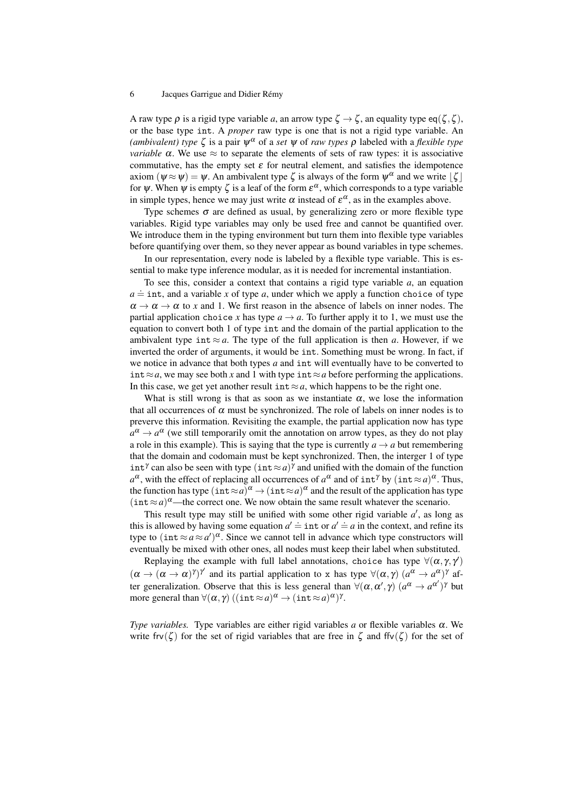A raw type  $\rho$  is a rigid type variable *a*, an arrow type  $\zeta \to \zeta$ , an equality type eq( $\zeta, \zeta$ ), or the base type int. A *proper* raw type is one that is not a rigid type variable. An *(ambivalent) type* ζ is a pair ψ <sup>α</sup> of a *set* ψ of *raw types* ρ labeled with a *flexible type variable*  $\alpha$ . We use  $\approx$  to separate the elements of sets of raw types: it is associative commutative, has the empty set  $\varepsilon$  for neutral element, and satisfies the idempotence axiom  $(\psi \approx \psi) = \psi$ . An ambivalent type  $\zeta$  is always of the form  $\psi^{\alpha}$  and we write  $\lfloor \zeta \rfloor$ for  $\psi$ . When  $\psi$  is empty  $\zeta$  is a leaf of the form  $\varepsilon^{\alpha}$ , which corresponds to a type variable in simple types, hence we may just write  $\alpha$  instead of  $\varepsilon^{\alpha}$ , as in the examples above.

Type schemes  $\sigma$  are defined as usual, by generalizing zero or more flexible type variables. Rigid type variables may only be used free and cannot be quantified over. We introduce them in the typing environment but turn them into flexible type variables before quantifying over them, so they never appear as bound variables in type schemes.

In our representation, every node is labeled by a flexible type variable. This is essential to make type inference modular, as it is needed for incremental instantiation.

To see this, consider a context that contains a rigid type variable *a*, an equation  $a \doteq \text{int}$ , and a variable *x* of type *a*, under which we apply a function choice of type  $\alpha \to \alpha \to \alpha$  to *x* and 1. We first reason in the absence of labels on inner nodes. The partial application choice *x* has type  $a \rightarrow a$ . To further apply it to 1, we must use the equation to convert both 1 of type int and the domain of the partial application to the ambivalent type int  $\approx a$ . The type of the full application is then *a*. However, if we inverted the order of arguments, it would be int. Something must be wrong. In fact, if we notice in advance that both types *a* and int will eventually have to be converted to int≈*a*, we may see both *x* and 1 with type int≈*a* before performing the applications. In this case, we get yet another result int  $\approx a$ , which happens to be the right one.

What is still wrong is that as soon as we instantiate  $\alpha$ , we lose the information that all occurrences of  $\alpha$  must be synchronized. The role of labels on inner nodes is to preverve this information. Revisiting the example, the partial application now has type  $a^{\alpha} \rightarrow a^{\alpha}$  (we still temporarily omit the annotation on arrow types, as they do not play a role in this example). This is saying that the type is currently  $a \rightarrow a$  but remembering that the domain and codomain must be kept synchronized. Then, the interger 1 of type int<sup>γ</sup> can also be seen with type  $(int \approx a)$ <sup>γ</sup> and unified with the domain of the function  $a^{\alpha}$ , with the effect of replacing all occurrences of  $a^{\alpha}$  and of  $int^{\gamma}$  by  $(int \approx a)^{\alpha}$ . Thus, the function has type  $(\text{int} \approx a)^{\alpha} \to (\text{int} \approx a)^{\alpha}$  and the result of the application has type  $(int \approx a)^\alpha$ —the correct one. We now obtain the same result whatever the scenario.

This result type may still be unified with some other rigid variable  $a'$ , as long as this is allowed by having some equation  $a' \doteq \text{int or } a' \doteq a$  in the context, and refine its type to  $(\text{int} \approx a \approx a')^{\alpha}$ . Since we cannot tell in advance which type constructors will eventually be mixed with other ones, all nodes must keep their label when substituted.

Replaying the example with full label annotations, choice has type  $\forall (\alpha, \gamma, \gamma')$  $(\alpha \to (\alpha \to \alpha)^{\gamma})^{\gamma}$  and its partial application to x has type  $\forall (\alpha, \gamma)$   $(a^{\alpha} \to a^{\alpha})^{\gamma}$  after generalization. Observe that this is less general than  $\forall (\alpha, \alpha', \gamma)$   $(a^{\alpha} \rightarrow a^{\alpha'})^{\gamma}$  but more general than  $\forall (\alpha, \gamma) \ ((\text{int} \approx a)^{\alpha} \rightarrow (\text{int} \approx a)^{\alpha})^{\gamma}$ .

*Type variables.* Type variables are either rigid variables *a* or flexible variables α. We write frv $(\zeta)$  for the set of rigid variables that are free in  $\zeta$  and ffv $(\zeta)$  for the set of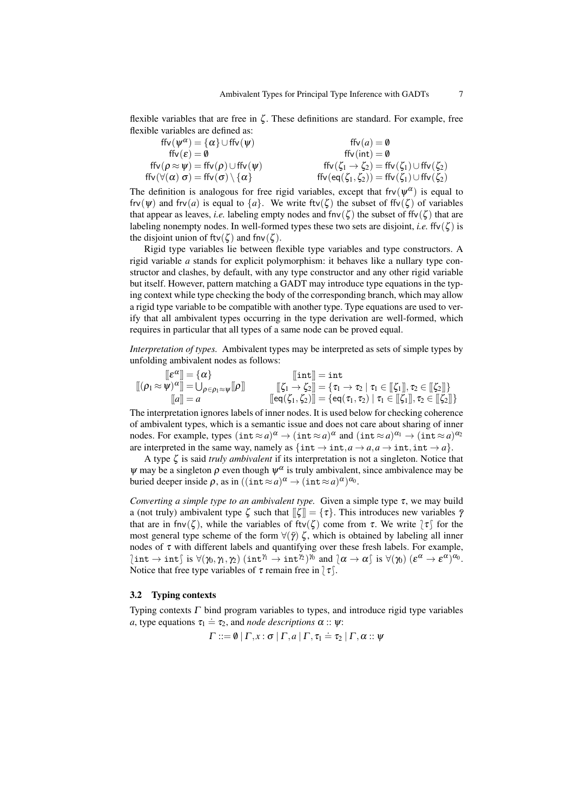flexible variables that are free in  $\zeta$ . These definitions are standard. For example, free flexible variables are defined as:

| $\text{ffv}(\psi^{\alpha}) = {\alpha} \cup \text{ffv}(\psi)$                    | $ffv(a) = \emptyset$                                                             |  |  |  |  |  |
|---------------------------------------------------------------------------------|----------------------------------------------------------------------------------|--|--|--|--|--|
| $ffv(\varepsilon) = \emptyset$                                                  | $ffv(int) = \emptyset$                                                           |  |  |  |  |  |
| $\text{ffv}(\rho \approx \psi) = \text{ffv}(\rho) \cup \text{ffv}(\psi)$        | $\text{ffv}(\zeta_1 \to \zeta_2) = \text{ffv}(\zeta_1) \cup \text{ffv}(\zeta_2)$ |  |  |  |  |  |
| $\text{ffv}(\forall(\alpha) \sigma) = \text{ffv}(\sigma) \setminus \{\alpha\}.$ | $\text{ffv}(eq(\zeta_1,\zeta_2)) = \text{ffv}(\zeta_1) \cup \text{ffv}(\zeta_2)$ |  |  |  |  |  |

The definition is analogous for free rigid variables, except that  $frv(\psi^{\alpha})$  is equal to frv( $\psi$ ) and frv(*a*) is equal to {*a*}. We write ftv( $\zeta$ ) the subset of ffv( $\zeta$ ) of variables that appear as leaves, *i.e.* labeling empty nodes and fnv $(\zeta)$  the subset of ffv $(\zeta)$  that are labeling nonempty nodes. In well-formed types these two sets are disjoint, *i.e.* ffv $(\zeta)$  is the disjoint union of  $ftv(\zeta)$  and  $fnv(\zeta)$ .

Rigid type variables lie between flexible type variables and type constructors. A rigid variable *a* stands for explicit polymorphism: it behaves like a nullary type constructor and clashes, by default, with any type constructor and any other rigid variable but itself. However, pattern matching a GADT may introduce type equations in the typing context while type checking the body of the corresponding branch, which may allow a rigid type variable to be compatible with another type. Type equations are used to verify that all ambivalent types occurring in the type derivation are well-formed, which requires in particular that all types of a same node can be proved equal.

*Interpretation of types.* Ambivalent types may be interpreted as sets of simple types by unfolding ambivalent nodes as follows:

$$
\begin{aligned}\n\llbracket \epsilon^{\alpha} \rrbracket &= \{\alpha\} & \qquad \qquad \llbracket \text{int} \rrbracket &= \text{int} \\
\llbracket (\rho_1 \approx \psi)^{\alpha} \rrbracket &= \bigcup_{\rho \in \rho_1 \approx \psi} \llbracket \rho \rrbracket & \qquad \qquad \llbracket \zeta_1 \rightarrow \zeta_2 \rrbracket &= \{\tau_1 \rightarrow \tau_2 \mid \tau_1 \in [\![\zeta_1]\!], \tau_2 \in [\![\zeta_2]\!]\} \\
\llbracket a \rrbracket &= a & \qquad \qquad \llbracket \epsilon q(\zeta_1, \zeta_2) \rrbracket &= \{\text{eq}(\tau_1, \tau_2) \mid \tau_1 \in [\![\zeta_1]\!], \tau_2 \in [\![\zeta_2]\!]\}\n\end{aligned}
$$

The interpretation ignores labels of inner nodes. It is used below for checking coherence of ambivalent types, which is a semantic issue and does not care about sharing of inner nodes. For example, types  $(\text{int} \approx a)^{\alpha} \to (\text{int} \approx a)^{\alpha}$  and  $(\text{int} \approx a)^{\alpha_1} \to (\text{int} \approx a)^{\alpha_2}$ are interpreted in the same way, namely as  $\{\text{int} \to \text{int}, a \to a, a \to \text{int}, \text{int} \to a\}.$ 

A type ζ is said *truly ambivalent* if its interpretation is not a singleton. Notice that  $\psi$  may be a singleton  $\rho$  even though  $\psi^{\alpha}$  is truly ambivalent, since ambivalence may be buried deeper inside  $\rho$ , as in  $((\texttt{int} \approx a)^{\alpha} \rightarrow (\texttt{int} \approx a)^{\alpha})^{\alpha_0}.$ 

*Converting a simple type to an ambivalent type.* Given a simple type τ, we may build a (not truly) ambivalent type  $\zeta$  such that  $\|\zeta\| = {\tau}$ . This introduces new variables  $\bar{\gamma}$ that are in fnv( $\zeta$ ), while the variables of ftv( $\zeta$ ) come from  $\tau$ . We write  $\tau$  for the most general type scheme of the form  $\forall (\bar{\gamma}) \zeta$ , which is obtained by labeling all inner nodes of  $\tau$  with different labels and quantifying over these fresh labels. For example,  $\left\{\int \mathrm{int} \to \mathrm{int}\right\}$  is  $\forall (\gamma_0, \gamma_1, \gamma_2)$   $(\mathrm{int}^{\gamma_1} \to \mathrm{int}^{\gamma_2})^{\gamma_0}$  and  $\left\{\alpha \to \alpha\right\}$  is  $\forall (\gamma_0)$   $(\varepsilon^{\alpha} \to \varepsilon^{\alpha})^{\alpha_0}$ . Notice that free type variables of  $\tau$  remain free in  $\{\tau\}$ .

# 3.2 Typing contexts

Typing contexts  $\Gamma$  bind program variables to types, and introduce rigid type variables  $a$ , type equations  $\tau_1 \doteq \tau_2$ , and *node descriptions*  $\alpha :: \psi$ :

$$
\Gamma ::= \emptyset \mid \Gamma, x : \sigma \mid \Gamma, a \mid \Gamma, \tau_1 = \tau_2 \mid \Gamma, \alpha :: \psi
$$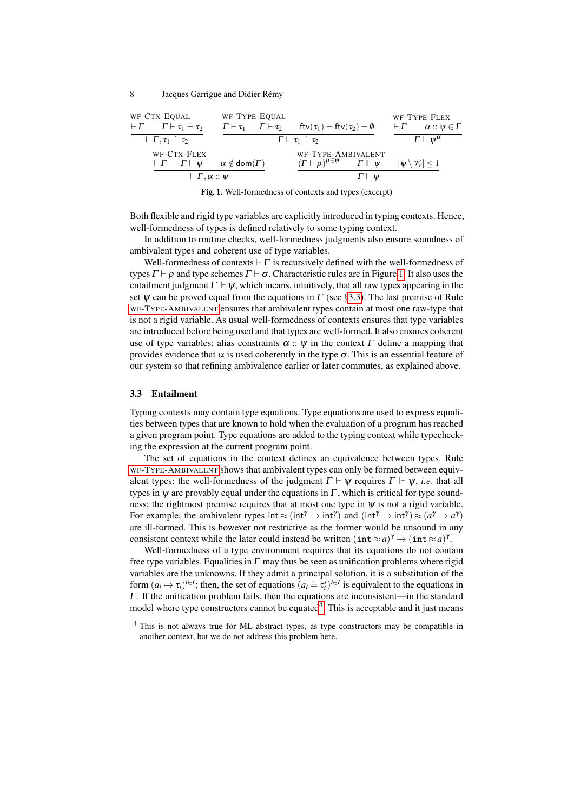<span id="page-7-5"></span>
$$
\begin{array}{llll} \text{WF-CTX-EQUAL} & & \text{WF-TYPE-EQUAL} \\ \hline & \vdash \Gamma & \Gamma \vdash \tau_1 \doteq \tau_2 \\ & \vdash \Gamma, \tau_1 \doteq \tau_2 \\ & & \text{WF-CTX-PLEX} \\ & & \text{WF-CTX-PLEX} \\ & & \vdash \Gamma & \Gamma \vdash \psi \\ & & \vdash \Gamma, \alpha::\psi \end{array} \quad \begin{array}{ll} \text{WF-TYPE-EQUAL} \\ \text{F} \vdash \tau_1 & \Gamma \vdash \tau_2 & \text{ftv}(\tau_1) = \text{ftv}(\tau_2) = \emptyset \\ & & \text{WF-TYPE-AMBIVALENT} \\ & & \text{WF-TYPE-AMBIVALENT} \\ & & \text{WF-TYPE-AMBIVALENT} \\ & & \text{WF-TYPE} \end{array}
$$

<span id="page-7-4"></span><span id="page-7-2"></span><span id="page-7-0"></span>Fig. 1. Well-formedness of contexts and types (excerpt)

Both flexible and rigid type variables are explicitly introduced in typing contexts. Hence, well-formedness of types is defined relatively to some typing context.

In addition to routine checks, well-formedness judgments also ensure soundness of ambivalent types and coherent use of type variables.

Well-formedness of contexts  $\vdash \Gamma$  is recursively defined with the well-formedness of types  $\Gamma \vdash \rho$  and type schemes  $\Gamma \vdash \sigma$ . Characteristic rules are in Figure [1.](#page-7-0) It also uses the entailment judgment  $\Gamma \Vdash \psi$ , which means, intuitively, that all raw types appearing in the set  $\psi$  can be proved equal from the equations in  $\Gamma$  (see §[3.3\)](#page-7-1). The last premise of Rule WF-TYPE-A[MBIVALENT](#page-7-2) ensures that ambivalent types contain at most one raw-type that is not a rigid variable. As usual well-formedness of contexts ensures that type variables are introduced before being used and that types are well-formed. It also ensures coherent use of type variables: alias constraints  $\alpha$  ::  $\psi$  in the context  $\Gamma$  define a mapping that provides evidence that  $\alpha$  is used coherently in the type  $\sigma$ . This is an essential feature of our system so that refining ambivalence earlier or later commutes, as explained above.

#### <span id="page-7-1"></span>3.3 Entailment

Typing contexts may contain type equations. Type equations are used to express equalities between types that are known to hold when the evaluation of a program has reached a given program point. Type equations are added to the typing context while typechecking the expression at the current program point.

The set of equations in the context defines an equivalence between types. Rule WF-TYPE-A[MBIVALENT](#page-7-2) shows that ambivalent types can only be formed between equivalent types: the well-formedness of the judgment  $\Gamma \vdash \psi$  requires  $\Gamma \Vdash \psi$ , *i.e.* that all types in  $\psi$  are provably equal under the equations in  $\Gamma$ , which is critical for type soundness; the rightmost premise requires that at most one type in  $\psi$  is not a rigid variable. For example, the ambivalent types int  $\approx$  (int<sup> $\gamma$ </sup>  $\rightarrow$  int<sup> $\gamma$ </sup>) and (int<sup> $\gamma$ </sup>  $\rightarrow$  int $\gamma$ )  $\approx$  ( $a^{\gamma} \rightarrow a^{\gamma}$ ) are ill-formed. This is however not restrictive as the former would be unsound in any consistent context while the later could instead be written  $(\text{int} \approx a)^{\gamma} \rightarrow (\text{int} \approx a)^{\gamma}$ .

Well-formedness of a type environment requires that its equations do not contain free type variables. Equalities in  $\Gamma$  may thus be seen as unification problems where rigid variables are the unknowns. If they admit a principal solution, it is a substitution of the form  $(a_i \mapsto \tau_i)^{i \in I}$ ; then, the set of equations  $(a_i = \tau'_i)^{i \in I}$  is equivalent to the equations in Γ . If the unification problem fails, then the equations are inconsistent—in the standard model where type constructors cannot be equated<sup>[4](#page-7-3)</sup>. This is acceptable and it just means

<span id="page-7-3"></span><sup>4</sup> This is not always true for ML abstract types, as type constructors may be compatible in another context, but we do not address this problem here.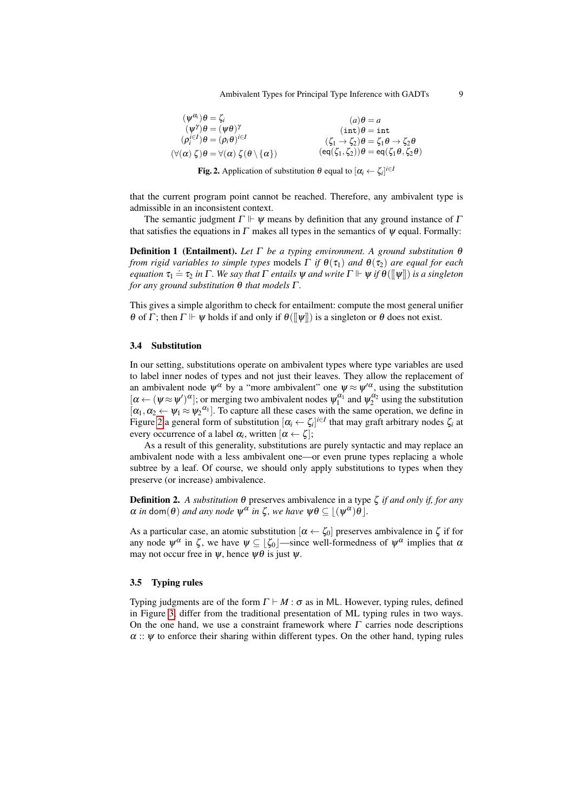Ambivalent Types for Principal Type Inference with GADTs 9

$$
(\psi^{\alpha_i})\theta = \zeta_i
$$
  
\n
$$
(\psi^{\gamma})\theta = (\psi\theta)^{\gamma}
$$
  
\n
$$
(\rho_i^{\{i\}})\theta = (\rho_i\theta)^{i\in I}
$$
  
\n
$$
(\forall(\alpha)\zeta)\theta = \forall(\alpha)\zeta(\theta\setminus\{\alpha\})
$$
  
\n
$$
(\xi_1 \rightarrow \zeta_2)\theta = \zeta_1\theta \rightarrow \zeta_2\theta
$$
  
\n
$$
(\epsilon q(\zeta_1, \zeta_2))\theta = \epsilon q(\zeta_1\theta, \zeta_2\theta)
$$

<span id="page-8-1"></span>**Fig. 2.** Application of substitution  $\theta$  equal to  $[\alpha_i \leftarrow \zeta_i]^{i \in I}$ 

that the current program point cannot be reached. Therefore, any ambivalent type is admissible in an inconsistent context.

The semantic judgment  $\Gamma \Vdash \psi$  means by definition that any ground instance of  $\Gamma$ that satisfies the equations in  $\Gamma$  makes all types in the semantics of  $\psi$  equal. Formally:

Definition 1 (Entailment). *Let* Γ *be a typing environment. A ground substitution* θ *from rigid variables to simple types* models  $\Gamma$  *if*  $\theta(\tau_1)$  *and*  $\theta(\tau_2)$  *are equal for each equation*  $\tau_1 = \tau_2$  *in* Γ. We say that  $\Gamma$  *entails*  $\psi$  *and write*  $\Gamma \vdash \psi$  *if*  $\theta([\psi]]$  *is a singleton for any ground substitution* θ *that models* Γ *.*

This gives a simple algorithm to check for entailment: compute the most general unifier θ of Γ; then  $\Gamma \Vdash \psi$  holds if and only if  $\theta(\psi \|)$  is a singleton or θ does not exist.

#### 3.4 Substitution

In our setting, substitutions operate on ambivalent types where type variables are used to label inner nodes of types and not just their leaves. They allow the replacement of an ambivalent node  $\psi^{\alpha}$  by a "more ambivalent" one  $\psi \approx \psi'^{\alpha}$ , using the substitution  $[\alpha \leftarrow (\psi \approx \psi')^{\alpha}]$ ; or merging two ambivalent nodes  $\psi_1^{\alpha_1}$  and  $\psi_2^{\alpha_2}$  using the substitution  $[\alpha_1, \alpha_2 \leftarrow \psi_1 \approx \psi_2^{\alpha_1}]$ . To capture all these cases with the same operation, we define in Figure [2](#page-8-1) a general form of substitution  $[\alpha_i \leftarrow \zeta_i]^{i \in I}$  that may graft arbitrary nodes  $\zeta_i$  at every occurrence of a label  $\alpha_i$ , written  $[\alpha \leftarrow \zeta];$ 

As a result of this generality, substitutions are purely syntactic and may replace an ambivalent node with a less ambivalent one—or even prune types replacing a whole subtree by a leaf. Of course, we should only apply substitutions to types when they preserve (or increase) ambivalence.

Definition 2. *A substitution* θ preserves ambivalence in a type ζ *if and only if, for any*  $\alpha$  *in* dom( $\theta$ ) *and any node*  $\psi^{\alpha}$  *in*  $\zeta$ *, we have*  $\psi \theta \subseteq$   $\lfloor (\psi^{\alpha})\theta \rfloor$ *.* 

As a particular case, an atomic substitution  $[\alpha \leftarrow \zeta_0]$  preserves ambivalence in  $\zeta$  if for any node  $\psi^{\alpha}$  in  $\zeta$ , we have  $\psi \subseteq [\zeta_0]$ —since well-formedness of  $\psi^{\alpha}$  implies that  $\alpha$ may not occur free in  $\psi$ , hence  $\psi \theta$  is just  $\psi$ .

#### <span id="page-8-0"></span>3.5 Typing rules

Typing judgments are of the form  $\Gamma \vdash M : \sigma$  as in ML. However, typing rules, defined in Figure [3,](#page-9-0) differ from the traditional presentation of ML typing rules in two ways. On the one hand, we use a constraint framework where  $\Gamma$  carries node descriptions  $\alpha$  ::  $\psi$  to enforce their sharing within different types. On the other hand, typing rules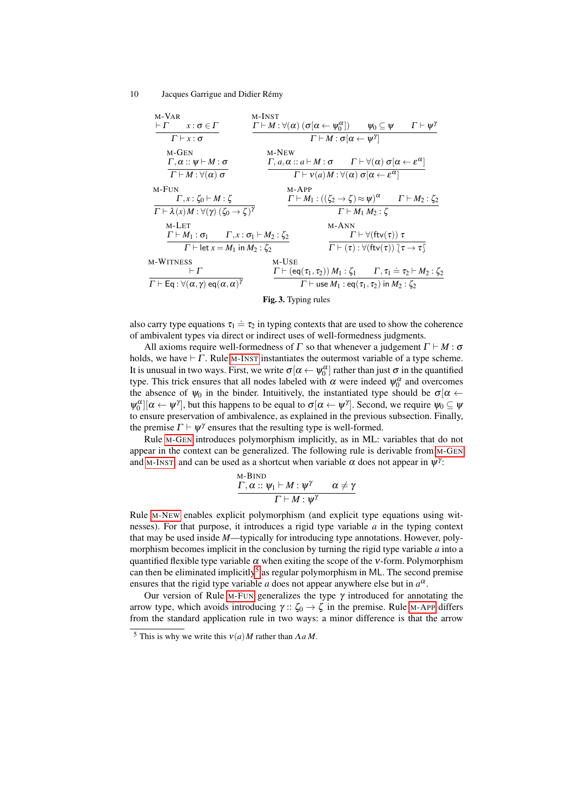<span id="page-9-12"></span><span id="page-9-5"></span><span id="page-9-3"></span><span id="page-9-2"></span><span id="page-9-1"></span>

| M-VAR                                                                                          | M-INST                                                                                                                                         |  |  |  |  |  |  |
|------------------------------------------------------------------------------------------------|------------------------------------------------------------------------------------------------------------------------------------------------|--|--|--|--|--|--|
| $\vdash \Gamma \quad x : \sigma \in \Gamma$                                                    | $\Gamma \vdash M : \forall (\alpha) (\sigma[\alpha \leftarrow \psi_0^{\alpha}]) \qquad \psi_0 \subseteq \psi$<br>$\Gamma \vdash \psi^{\gamma}$ |  |  |  |  |  |  |
| $\Gamma \vdash x : \sigma$                                                                     | $\Gamma \vdash M : \sigma[\alpha \leftarrow \psi^\gamma]$                                                                                      |  |  |  |  |  |  |
| M-GEN                                                                                          | M-NEW                                                                                                                                          |  |  |  |  |  |  |
| $\Gamma, \alpha :: \psi \vdash M : \sigma$                                                     | $\Gamma, a, \alpha :: a \vdash M : \sigma$ $\Gamma \vdash \forall(\alpha) \sigma[\alpha \leftarrow \varepsilon^{\alpha}]$                      |  |  |  |  |  |  |
| $\Gamma \vdash M : \forall(\alpha) \sigma$                                                     | $\Gamma \vdash v(a)M : \forall(\alpha) \sigma[\alpha \leftarrow \varepsilon^{\alpha}]$                                                         |  |  |  |  |  |  |
| <b>M-FUN</b>                                                                                   | $M-APP$                                                                                                                                        |  |  |  |  |  |  |
| $\Gamma, x : \zeta_0 \vdash M : \zeta$                                                         | $\Gamma \vdash M_1 : ((\zeta_2 \rightarrow \zeta) \approx \psi)^{\alpha}$<br>$\Gamma \vdash M_2 : \zeta_2$                                     |  |  |  |  |  |  |
| $\Gamma \vdash \lambda(x) M : \forall(\gamma) (\zeta_0 \rightarrow \zeta)^\gamma$              | $\Gamma \vdash M_1 M_2 : \zeta$                                                                                                                |  |  |  |  |  |  |
| $M$ -LET                                                                                       | M-ANN                                                                                                                                          |  |  |  |  |  |  |
| $\Gamma \vdash M_1 : \sigma_1 \qquad \Gamma, x : \sigma_1 \vdash M_2 : \zeta_2$                | $\Gamma \vdash \forall (\text{ftv}(\tau)) \tau$                                                                                                |  |  |  |  |  |  |
| $\Gamma \vdash \text{let } x = M_1$ in $M_2 : \zeta_2$                                         | $\Gamma \vdash (\tau) : \forall (\text{ftv}(\tau)) \exists \tau \rightarrow \tau$                                                              |  |  |  |  |  |  |
| M-WITNESS                                                                                      | M-USE                                                                                                                                          |  |  |  |  |  |  |
| $\vdash \Gamma$                                                                                | $\Gamma \vdash (\text{eq}(\tau_1, \tau_2)) M_1 : \zeta_1 \qquad \Gamma, \tau_1 \doteq \tau_2 \vdash M_2 : \zeta_2$                             |  |  |  |  |  |  |
| $\Gamma \vdash \mathsf{Eq} : \forall (\alpha, \gamma) \; \mathsf{eq}(\alpha, \alpha)^{\gamma}$ | $\Gamma \vdash$ use $M_1$ : eq $(\tau_1, \tau_2)$ in $M_2$ : $\zeta_2$                                                                         |  |  |  |  |  |  |

<span id="page-9-10"></span><span id="page-9-8"></span><span id="page-9-6"></span><span id="page-9-0"></span>Fig. 3. Typing rules

<span id="page-9-9"></span><span id="page-9-7"></span>also carry type equations  $\tau_1 \doteq \tau_2$  in typing contexts that are used to show the coherence of ambivalent types via direct or indirect uses of well-formedness judgments.

All axioms require well-formedness of  $\Gamma$  so that whenever a judgement  $\Gamma \vdash M : \sigma$ holds, we have  $\vdash \Gamma$ . Rule M-I[NST](#page-9-1) instantiates the outermost variable of a type scheme. It is unusual in two ways. First, we write  $\sigma[\alpha\leftarrow\psi^{\alpha}_0]$  rather than just  $\sigma$  in the quantified type. This trick ensures that all nodes labeled with  $\alpha$  were indeed  $\psi_0^{\alpha}$  and overcomes the absence of  $\psi_0$  in the binder. Intuitively, the instantiated type should be  $\sigma[\alpha \leftarrow$  $\psi_0^{\alpha}][\alpha \leftarrow \psi^{\gamma}],$  but this happens to be equal to  $\sigma[\alpha \leftarrow \psi^{\gamma}]$ . Second, we require  $\psi_0 \subseteq \psi$ to ensure preservation of ambivalence, as explained in the previous subsection. Finally, the premise  $\Gamma \vdash \psi^{\gamma}$  ensures that the resulting type is well-formed.

Rule M[-G](#page-9-2)EN introduces polymorphism implicitly, as in ML: variables that do not appear in the context can be generalized. The following rule is derivable from M[-G](#page-9-2)EN and M-I[NST](#page-9-1), and can be used as a shortcut when variable  $\alpha$  does not appear in  $\psi^{\gamma}$ :

<span id="page-9-11"></span>
$$
\frac{\Gamma, \alpha::\psi_1 \vdash M : \psi^\gamma \qquad \alpha \neq \gamma}{\Gamma \vdash M : \psi^\gamma}
$$

Rule M[-N](#page-9-3)EW enables explicit polymorphism (and explicit type equations using witnesses). For that purpose, it introduces a rigid type variable *a* in the typing context that may be used inside *M*—typically for introducing type annotations. However, polymorphism becomes implicit in the conclusion by turning the rigid type variable *a* into a quantified flexible type variable  $\alpha$  when exiting the scope of the v-form. Polymorphism can then be eliminated implicitly<sup>[5](#page-9-4)</sup> as regular polymorphism in ML. The second premise ensures that the rigid type variable  $a$  does not appear anywhere else but in  $a^{\alpha}$ .

Our version of Rule M-F[UN](#page-9-5) generalizes the type  $\gamma$  introduced for annotating the arrow type, which avoids introducing  $\gamma$  ::  $\zeta_0 \to \zeta$  in the premise. Rule M[-A](#page-9-6)PP differs from the standard application rule in two ways: a minor difference is that the arrow

<span id="page-9-4"></span><sup>&</sup>lt;sup>5</sup> This is why we write this  $v(a)$ *M* rather than  $\Lambda a$ *M*.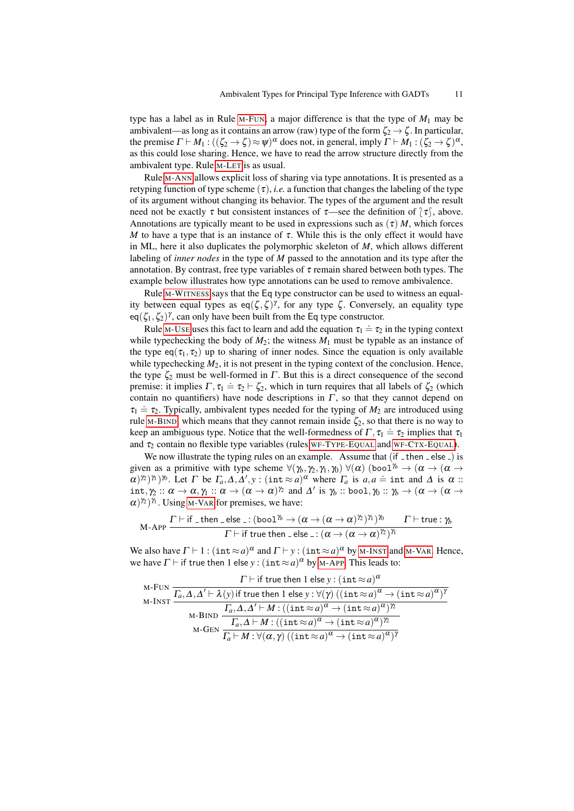type has a label as in Rule M-F[UN](#page-9-5); a major difference is that the type of  $M_1$  may be ambivalent—as long as it contains an arrow (raw) type of the form  $\zeta_2 \to \zeta$ . In particular, the premise  $\Gamma \vdash M_1: ((\zeta_2 \to \zeta) \approx \psi)^\alpha$  does not, in general, imply  $\Gamma \vdash M_1: (\zeta_2 \to \zeta)^\alpha$ , as this could lose sharing. Hence, we have to read the arrow structure directly from the ambivalent type. Rule M[-L](#page-9-7)ET is as usual.

Rule M[-A](#page-9-8)NN allows explicit loss of sharing via type annotations. It is presented as a retyping function of type scheme  $(\tau)$ , *i.e.* a function that changes the labeling of the type of its argument without changing its behavior. The types of the argument and the result need not be exactly  $\tau$  but consistent instances of  $\tau$ —see the definition of  $\tau$ , above. Annotations are typically meant to be used in expressions such as  $(\tau)$  *M*, which forces *M* to have a type that is an instance of  $\tau$ . While this is the only effect it would have in ML, here it also duplicates the polymorphic skeleton of *M*, which allows different labeling of *inner nodes* in the type of *M* passed to the annotation and its type after the annotation. By contrast, free type variables of  $\tau$  remain shared between both types. The example below illustrates how type annotations can be used to remove ambivalence.

Rule M-W[ITNESS](#page-9-9) says that the Eq type constructor can be used to witness an equality between equal types as eq $(\zeta, \zeta)^\gamma$ , for any type  $\zeta$ . Conversely, an equality type eq $(\zeta_1, \zeta_2)^\gamma$ , can only have been built from the Eq type constructor.

Rule M[-U](#page-9-10)SE uses this fact to learn and add the equation  $\tau_1 \doteq \tau_2$  in the typing context while typechecking the body of  $M_2$ ; the witness  $M_1$  must be typable as an instance of the type eq( $\tau_1, \tau_2$ ) up to sharing of inner nodes. Since the equation is only available while typechecking  $M_2$ , it is not present in the typing context of the conclusion. Hence, the type  $\zeta_2$  must be well-formed in  $\Gamma$ . But this is a direct consequence of the second premise: it implies  $\Gamma$ ,  $\tau_1 = \tau_2 \vdash \zeta_2$ , which in turn requires that all labels of  $\zeta_2$  (which contain no quantifiers) have node descriptions in  $\Gamma$ , so that they cannot depend on  $\tau_1 \doteq \tau_2$ . Typically, ambivalent types needed for the typing of *M*<sub>2</sub> are introduced using rule M-B[IND](#page-9-11), which means that they cannot remain inside  $\zeta_2$ , so that there is no way to keep an ambiguous type. Notice that the well-formedness of  $\Gamma$ ,  $\tau_1 = \tau_2$  implies that  $\tau_1$ and  $\tau_2$  contain no flexible type variables (rules WF-TYPE-E[QUAL](#page-7-5) and WF-CTX-EQUAL).

We now illustrate the typing rules on an example. Assume that (if  $\pm$  then  $\pm$  else  $\pm$ ) is given as a primitive with type scheme  $\forall (\gamma_1, \gamma_2, \gamma_1, \gamma_0)$   $\forall (\alpha)$  (bool<sup> $\gamma_1$ </sup>  $\rightarrow (\alpha \rightarrow (\alpha \rightarrow \gamma_1)$ )  $\alpha$ <sup>2</sup>)<sup>2</sup>)<sup>2</sup>)<sup>3</sup>)<sup>3</sup>. Let  $\Gamma$  be  $\Gamma$ <sub>*a*</sub>, $\Delta$ , $\Delta'$ ,  $y$ : (int  $\approx$  *a*)<sup> $\alpha$ </sup> where  $\Gamma$ <sub>*a*</sub> is *a*, *a*  $\approx$  int and  $\Delta$  is  $\alpha$ : int,  $\gamma_2 :: \alpha \to \alpha, \gamma_1 :: \alpha \to (\alpha \to \alpha)^{\gamma_2}$  and  $\varDelta'$  is  $\gamma_b ::$  bool,  $\gamma_0 :: \gamma_b \to (\alpha \to (\alpha \to \alpha)^{\gamma_1}$  $\alpha$ )<sup> $\alpha$ </sup>)<sup> $\alpha$ </sup>. Using M[-V](#page-9-12)AR for premises, we have:

$$
\text{M-APP } \frac{\Gamma \vdash \text{if }\_ \text{then }\_ \text{else }\_ : (\text{bool}^{\gamma_b} \to (\alpha \to (\alpha \to \alpha)^{\gamma_2})^{\gamma_1})^{\gamma_0} \qquad \Gamma \vdash \text{true } : \gamma_b}{\Gamma \vdash \text{if }\text{true } \text{then }\_ \text{else }\_ : (\alpha \to (\alpha \to \alpha)^{\gamma_2})^{\gamma_1}}
$$

We also have  $\Gamma \vdash 1$  :  $(\texttt{int} \approx a)^\alpha$  and  $\Gamma \vdash y$  :  $(\texttt{int} \approx a)^\alpha$  by M-I[NST](#page-9-1) and M[-V](#page-9-12)AR. Hence, we have  $\Gamma \vdash$  if true then 1 else  $y : (\texttt{int} \approx a)^{\alpha}$  by M[-A](#page-9-6)PP. This leads to:

$$
\Gamma \vdash \text{if true then 1 else } y : (\text{int} \approx a)^{\alpha}
$$
\nM-*INST*\n
$$
\overline{\Gamma_a, \Delta, \Delta' \vdash \lambda(y) \text{ if true then 1 else } y : \forall(\gamma) \ ((\text{int} \approx a)^{\alpha} \rightarrow (\text{int} \approx a)^{\alpha})^{\gamma}}
$$
\nM-*INST*\n
$$
\frac{\Gamma_a, \Delta, \Delta' \vdash M : ((\text{int} \approx a)^{\alpha} \rightarrow (\text{int} \approx a)^{\alpha})^{\gamma}}{\Gamma_a, \Delta \vdash M : ((\text{int} \approx a)^{\alpha} \rightarrow (\text{int} \approx a)^{\alpha})^{\gamma}}
$$
\nM-*GEN*\n
$$
\overline{\Gamma_a \vdash M : \forall (\alpha, \gamma) \ ((\text{int} \approx a)^{\alpha} \rightarrow (\text{int} \approx a)^{\alpha})^{\gamma}}
$$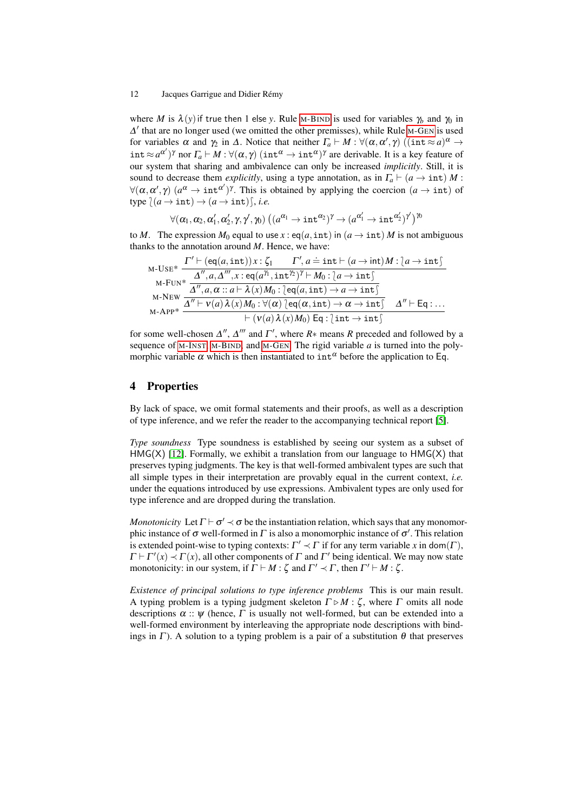where *M* is  $\lambda(y)$  if true then 1 else *y*. Rule M-B[IND](#page-9-11) is used for variables  $\gamma_b$  and  $\gamma_0$  in  $\Delta'$  that are no longer used (we omitted the other premisses), while Rule M[-G](#page-9-2)EN is used for variables  $\alpha$  and  $\gamma_2$  in  $\Delta$ . Notice that neither  $\Gamma_a \vdash M : \forall (\alpha, \alpha', \gamma)$  ((int  $\approx a)^\alpha \rightarrow$ int≈*a* α 0 ) <sup>γ</sup> nor Γ*<sup>a</sup>* ` *M* : ∀(α, γ) (int<sup>α</sup> → int<sup>α</sup> ) γ are derivable. It is a key feature of our system that sharing and ambivalence can only be increased *implicitly*. Still, it is sound to decrease them *explicitly*, using a type annotation, as in  $\Gamma_a \vdash (a \rightarrow \text{int}) M$ :  $\forall (\alpha, \alpha', \gamma)$   $(a^{\alpha} \to \text{int}^{\alpha'})^{\gamma}$ . This is obtained by applying the coercion  $(a \to \text{int})$  of type  $\{ (a \rightarrow \text{int}) \rightarrow (a \rightarrow \text{int}) \}$ , *i.e.* 

 $\forall (\alpha_1, \alpha_2, \alpha'_1, \alpha'_2, \gamma, \gamma', \gamma_0) \ \big( (a^{\alpha_1} \rightarrow \texttt{int}^{\alpha_2})^{\gamma} \rightarrow (a^{\alpha'_1} \rightarrow \texttt{int}^{\alpha'_2})^{\gamma'} \big)^{\gamma_k}$ 

to *M*. The expression  $M_0$  equal to use  $x : eq(a, int)$  in  $(a \rightarrow int)$  *M* is not ambiguous thanks to the annotation around *M*. Hence, we have:

$$
\begin{array}{ll} \mbox{M-USE*} & \dfrac{\Gamma' \vdash (\mathrm{eq}(a, \mathrm{int})) \, x \colon \zeta_1 \quad \ \Gamma', a \doteq \mathrm{int} \vdash (a \rightarrow \mathrm{int}) \, M \, : \, \{a \rightarrow \mathrm{int}\} \, }{\Delta'', a, \Delta'', x \, : \, \mathrm{eq}(a^{\gamma}, \mathrm{int}^{\gamma})^{\gamma} \vdash M_0 \, : \, \{a \rightarrow \mathrm{int}\} \, }\\ & \mbox{M-FLN*} & \dfrac{\Delta'', a, \alpha :: a \vdash \lambda(x) \, M_0 \, : \, \{ \mathrm{eq}(a, \mathrm{int}) \rightarrow a \rightarrow \mathrm{int}\} \, }{\Delta'' \vdash \mathrm{V}(a) \, \lambda(x) \, M_0 \, : \, \forall (\alpha) \, \{ \mathrm{eq}(\alpha, \mathrm{int}) \rightarrow \alpha \rightarrow \mathrm{int}\} \, } \Delta'' \vdash \mathrm{Eq} \, : \ldots \, \\ & \qquad \qquad \vdash (\mathrm{V}(a) \, \lambda(x) \, M_0) \, \, \mathrm{Eq} \, : \, \{ \mathrm{int} \rightarrow \mathrm{int}\} \end{array}
$$

for some well-chosen  $\Delta''$ ,  $\Delta'''$  and  $\Gamma'$ , where  $R*$  means  $R$  preceded and followed by a sequence of M-I[NST](#page-9-1), M-B[IND](#page-9-11), and M[-G](#page-9-2)EN. The rigid variable *a* is turned into the polymorphic variable  $\alpha$  which is then instantiated to int<sup> $\alpha$ </sup> before the application to Eq.

# <span id="page-11-0"></span>4 Properties

By lack of space, we omit formal statements and their proofs, as well as a description of type inference, and we refer the reader to the accompanying technical report [\[5\]](#page-15-9).

*Type soundness* Type soundness is established by seeing our system as a subset of  $HMG(X)$  [\[12\]](#page-15-10). Formally, we exhibit a translation from our language to  $HMG(X)$  that preserves typing judgments. The key is that well-formed ambivalent types are such that all simple types in their interpretation are provably equal in the current context, *i.e.* under the equations introduced by use expressions. Ambivalent types are only used for type inference and are dropped during the translation.

*Monotonicity* Let  $\Gamma \vdash \sigma' \prec \sigma$  be the instantiation relation, which says that any monomorphic instance of  $\sigma$  well-formed in  $\Gamma$  is also a monomorphic instance of  $\sigma'$ . This relation is extended point-wise to typing contexts:  $\Gamma' \prec \Gamma$  if for any term variable *x* in dom( $\Gamma$ ),  $\Gamma \vdash \Gamma'(x) \prec \Gamma(x)$ , all other components of  $\Gamma$  and  $\Gamma'$  being identical. We may now state monotonicity: in our system, if  $\Gamma \vdash M : \zeta$  and  $\Gamma' \prec \Gamma$ , then  $\Gamma' \vdash M : \zeta$ .

*Existence of principal solutions to type inference problems* This is our main result. A typing problem is a typing judgment skeleton  $\Gamma \triangleright M : \zeta$ , where  $\Gamma$  omits all node descriptions  $\alpha$ ::  $\psi$  (hence,  $\Gamma$  is usually not well-formed, but can be extended into a well-formed environment by interleaving the appropriate node descriptions with bindings in Γ). A solution to a typing problem is a pair of a substitution  $\theta$  that preserves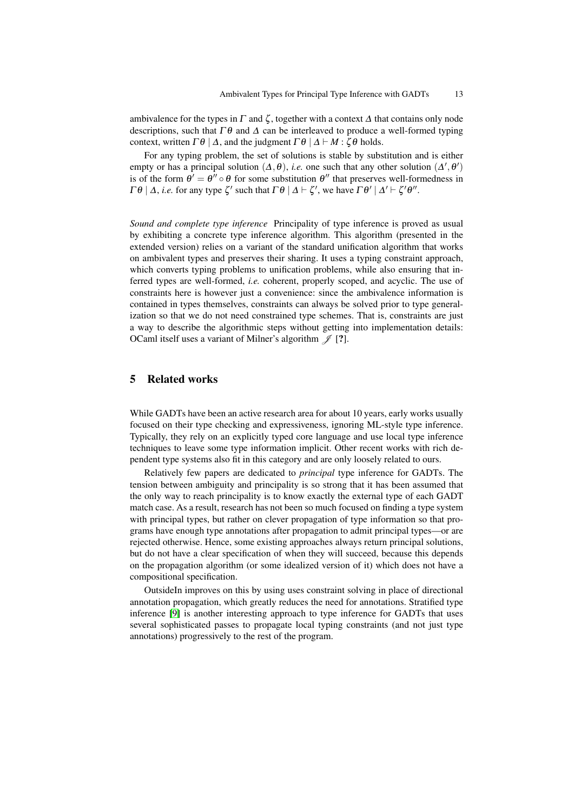ambivalence for the types in  $\Gamma$  and  $\zeta$ , together with a context  $\Delta$  that contains only node descriptions, such that  $\Gamma \theta$  and  $\Delta$  can be interleaved to produce a well-formed typing context, written  $\Gamma \theta \mid \Delta$ , and the judgment  $\Gamma \theta \mid \Delta \vdash M : \zeta \theta$  holds.

For any typing problem, the set of solutions is stable by substitution and is either empty or has a principal solution  $(\Delta, \theta)$ , *i.e.* one such that any other solution  $(\Delta', \theta')$ is of the form  $\theta' = \theta'' \circ \theta$  for some substitution  $\theta''$  that preserves well-formedness in  $\Gamma \theta \mid \Delta$ , *i.e.* for any type  $\zeta'$  such that  $\Gamma \theta \mid \Delta \vdash \zeta'$ , we have  $\Gamma \theta' \mid \Delta' \vdash \zeta' \theta''$ .

*Sound and complete type inference* Principality of type inference is proved as usual by exhibiting a concrete type inference algorithm. This algorithm (presented in the extended version) relies on a variant of the standard unification algorithm that works on ambivalent types and preserves their sharing. It uses a typing constraint approach, which converts typing problems to unification problems, while also ensuring that inferred types are well-formed, *i.e.* coherent, properly scoped, and acyclic. The use of constraints here is however just a convenience: since the ambivalence information is contained in types themselves, constraints can always be solved prior to type generalization so that we do not need constrained type schemes. That is, constraints are just a way to describe the algorithmic steps without getting into implementation details: OCaml itself uses a variant of Milner's algorithm  $\mathcal{J}$  [?].

# <span id="page-12-0"></span>5 Related works

While GADTs have been an active research area for about 10 years, early works usually focused on their type checking and expressiveness, ignoring ML-style type inference. Typically, they rely on an explicitly typed core language and use local type inference techniques to leave some type information implicit. Other recent works with rich dependent type systems also fit in this category and are only loosely related to ours.

Relatively few papers are dedicated to *principal* type inference for GADTs. The tension between ambiguity and principality is so strong that it has been assumed that the only way to reach principality is to know exactly the external type of each GADT match case. As a result, research has not been so much focused on finding a type system with principal types, but rather on clever propagation of type information so that programs have enough type annotations after propagation to admit principal types—or are rejected otherwise. Hence, some existing approaches always return principal solutions, but do not have a clear specification of when they will succeed, because this depends on the propagation algorithm (or some idealized version of it) which does not have a compositional specification.

OutsideIn improves on this by using uses constraint solving in place of directional annotation propagation, which greatly reduces the need for annotations. Stratified type inference [\[9\]](#page-15-5) is another interesting approach to type inference for GADTs that uses several sophisticated passes to propagate local typing constraints (and not just type annotations) progressively to the rest of the program.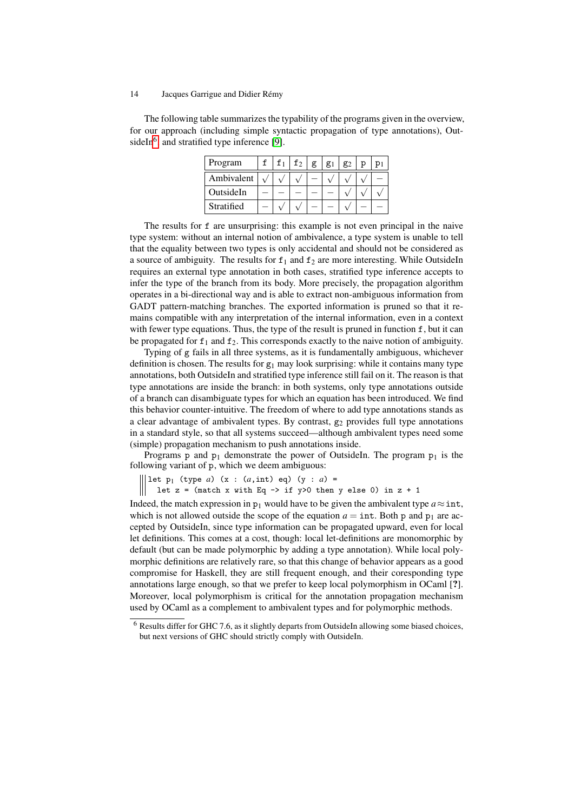The following table summarizes the typability of the programs given in the overview, for our approach (including simple syntactic propagation of type annotations), Out-sideIn<sup>[6](#page-13-0)</sup>, and stratified type inference [\[9\]](#page-15-5).

| Program    | f <sub>1</sub> | $f_2$   $g$ | $g_1$ | $g_2$ |  |
|------------|----------------|-------------|-------|-------|--|
| Ambivalent |                |             |       |       |  |
| OutsideIn  |                |             |       |       |  |
| Stratified |                |             |       |       |  |

The results for f are unsurprising: this example is not even principal in the naive type system: without an internal notion of ambivalence, a type system is unable to tell that the equality between two types is only accidental and should not be considered as a source of ambiguity. The results for  $f_1$  and  $f_2$  are more interesting. While OutsideIn requires an external type annotation in both cases, stratified type inference accepts to infer the type of the branch from its body. More precisely, the propagation algorithm operates in a bi-directional way and is able to extract non-ambiguous information from GADT pattern-matching branches. The exported information is pruned so that it remains compatible with any interpretation of the internal information, even in a context with fewer type equations. Thus, the type of the result is pruned in function f, but it can be propagated for  $f_1$  and  $f_2$ . This corresponds exactly to the naive notion of ambiguity.

Typing of g fails in all three systems, as it is fundamentally ambiguous, whichever definition is chosen. The results for  $g_1$  may look surprising: while it contains many type annotations, both OutsideIn and stratified type inference still fail on it. The reason is that type annotations are inside the branch: in both systems, only type annotations outside of a branch can disambiguate types for which an equation has been introduced. We find this behavior counter-intuitive. The freedom of where to add type annotations stands as a clear advantage of ambivalent types. By contrast,  $g_2$  provides full type annotations in a standard style, so that all systems succeed—although ambivalent types need some (simple) propagation mechanism to push annotations inside.

Programs p and  $p_1$  demonstrate the power of OutsideIn. The program  $p_1$  is the following variant of p, which we deem ambiguous:

let  $p_1$  (type *a*) (x : (*a*,int) eq) (y : *a*) =<br>let  $z =$  (match x with Eq  $\rightarrow$  if  $y>0$  then

let  $z = (match x with Eq \rightarrow if y>0 then y else 0) in z + 1$ 

Indeed, the match expression in  $p_1$  would have to be given the ambivalent type  $a \approx \text{int}$ , which is not allowed outside the scope of the equation  $a = \text{int}$ . Both p and  $p_1$  are accepted by OutsideIn, since type information can be propagated upward, even for local let definitions. This comes at a cost, though: local let-definitions are monomorphic by default (but can be made polymorphic by adding a type annotation). While local polymorphic definitions are relatively rare, so that this change of behavior appears as a good compromise for Haskell, they are still frequent enough, and their coresponding type annotations large enough, so that we prefer to keep local polymorphism in OCaml [?]. Moreover, local polymorphism is critical for the annotation propagation mechanism used by OCaml as a complement to ambivalent types and for polymorphic methods.

<span id="page-13-0"></span><sup>6</sup> Results differ for GHC 7.6, as it slightly departs from OutsideIn allowing some biased choices, but next versions of GHC should strictly comply with OutsideIn.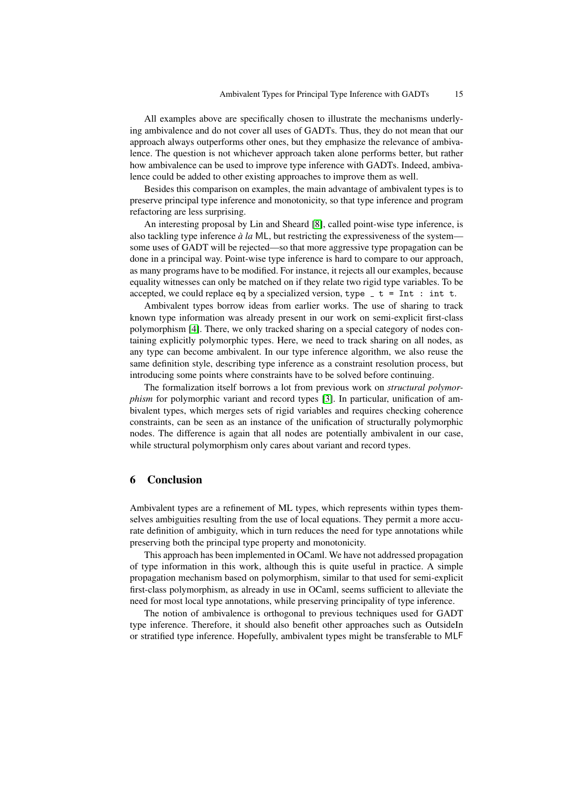All examples above are specifically chosen to illustrate the mechanisms underlying ambivalence and do not cover all uses of GADTs. Thus, they do not mean that our approach always outperforms other ones, but they emphasize the relevance of ambivalence. The question is not whichever approach taken alone performs better, but rather how ambivalence can be used to improve type inference with GADTs. Indeed, ambivalence could be added to other existing approaches to improve them as well.

Besides this comparison on examples, the main advantage of ambivalent types is to preserve principal type inference and monotonicity, so that type inference and program refactoring are less surprising.

An interesting proposal by Lin and Sheard [\[8\]](#page-15-11), called point-wise type inference, is also tackling type inference  $\dot{a}$  *la* ML, but restricting the expressiveness of the systemsome uses of GADT will be rejected—so that more aggressive type propagation can be done in a principal way. Point-wise type inference is hard to compare to our approach, as many programs have to be modified. For instance, it rejects all our examples, because equality witnesses can only be matched on if they relate two rigid type variables. To be accepted, we could replace eq by a specialized version, type  $\iota$  = Int : int t.

Ambivalent types borrow ideas from earlier works. The use of sharing to track known type information was already present in our work on semi-explicit first-class polymorphism [\[4\]](#page-15-8). There, we only tracked sharing on a special category of nodes containing explicitly polymorphic types. Here, we need to track sharing on all nodes, as any type can become ambivalent. In our type inference algorithm, we also reuse the same definition style, describing type inference as a constraint resolution process, but introducing some points where constraints have to be solved before continuing.

The formalization itself borrows a lot from previous work on *structural polymorphism* for polymorphic variant and record types [\[3\]](#page-15-12). In particular, unification of ambivalent types, which merges sets of rigid variables and requires checking coherence constraints, can be seen as an instance of the unification of structurally polymorphic nodes. The difference is again that all nodes are potentially ambivalent in our case, while structural polymorphism only cares about variant and record types.

# 6 Conclusion

Ambivalent types are a refinement of ML types, which represents within types themselves ambiguities resulting from the use of local equations. They permit a more accurate definition of ambiguity, which in turn reduces the need for type annotations while preserving both the principal type property and monotonicity.

This approach has been implemented in OCaml. We have not addressed propagation of type information in this work, although this is quite useful in practice. A simple propagation mechanism based on polymorphism, similar to that used for semi-explicit first-class polymorphism, as already in use in OCaml, seems sufficient to alleviate the need for most local type annotations, while preserving principality of type inference.

The notion of ambivalence is orthogonal to previous techniques used for GADT type inference. Therefore, it should also benefit other approaches such as OutsideIn or stratified type inference. Hopefully, ambivalent types might be transferable to MLF